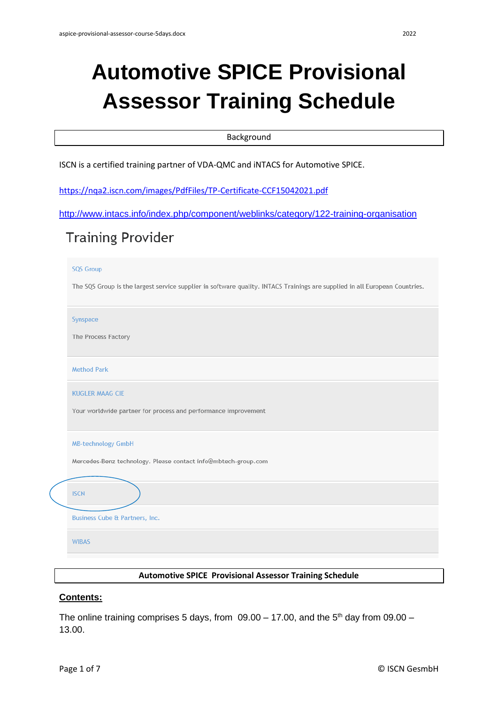# **Automotive SPICE Provisional Assessor Training Schedule**

## Background

ISCN is a certified training partner of VDA-QMC and iNTACS for Automotive SPICE.

<https://nqa2.iscn.com/images/PdfFiles/TP-Certificate-CCF15042021.pdf>

```
http://www.intacs.info/index.php/component/weblinks/category/122-training-organisation
```
## **Training Provider**

#### **SQS Group**

The SQS Group is the largest service supplier in software quality. INTACS Trainings are supplied in all European Countries.

Synspace

The Process Factory

**Method Park** 

KUGLER MAAG CIF

Your worldwide partner for process and performance improvement

| <b>MB-technology GmbH</b> |  |  |
|---------------------------|--|--|
|                           |  |  |

Mercedes-Benz technology. Please contact info@mbtech-group.com

## **ISCN**

**Business Cube & Partners, Inc.** 

**WIBAS** 

## **Automotive SPICE Provisional Assessor Training Schedule**

## **Contents:**

The online training comprises 5 days, from  $09.00 - 17.00$ , and the 5<sup>th</sup> day from  $09.00 -$ 13.00.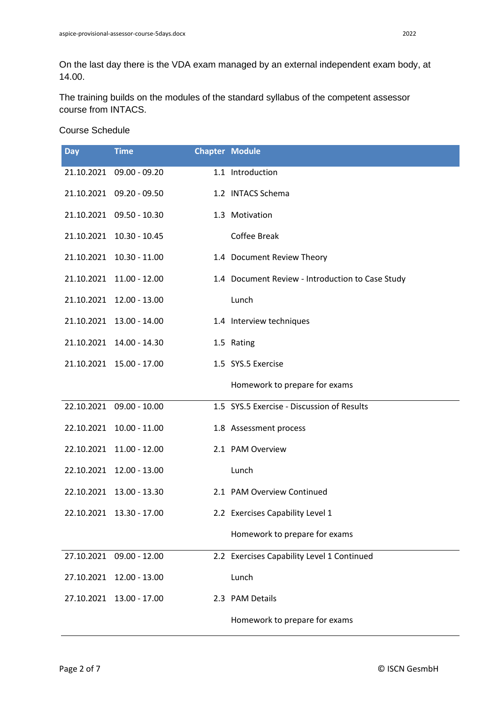On the last day there is the VDA exam managed by an external independent exam body, at 14.00.

The training builds on the modules of the standard syllabus of the competent assessor course from INTACS.

## Course Schedule

| <b>Day</b> | <b>Time</b>              | <b>Chapter Module</b> |                                                  |
|------------|--------------------------|-----------------------|--------------------------------------------------|
|            | 21.10.2021 09.00 - 09.20 |                       | 1.1 Introduction                                 |
|            | 21.10.2021 09.20 - 09.50 |                       | 1.2 INTACS Schema                                |
|            | 21.10.2021 09.50 - 10.30 |                       | 1.3 Motivation                                   |
|            | 21.10.2021 10.30 - 10.45 |                       | Coffee Break                                     |
|            | 21.10.2021 10.30 - 11.00 |                       | 1.4 Document Review Theory                       |
|            | 21.10.2021 11.00 - 12.00 |                       | 1.4 Document Review - Introduction to Case Study |
|            | 21.10.2021 12.00 - 13.00 |                       | Lunch                                            |
|            | 21.10.2021 13.00 - 14.00 |                       | 1.4 Interview techniques                         |
|            | 21.10.2021 14.00 - 14.30 |                       | 1.5 Rating                                       |
|            | 21.10.2021 15.00 - 17.00 |                       | 1.5 SYS.5 Exercise                               |
|            |                          |                       | Homework to prepare for exams                    |
|            | 22.10.2021 09.00 - 10.00 |                       | 1.5 SYS.5 Exercise - Discussion of Results       |
|            | 22.10.2021 10.00 - 11.00 |                       | 1.8 Assessment process                           |
|            | 22.10.2021 11.00 - 12.00 |                       | 2.1 PAM Overview                                 |
|            | 22.10.2021 12.00 - 13.00 |                       | Lunch                                            |
|            | 22.10.2021 13.00 - 13.30 |                       | 2.1 PAM Overview Continued                       |
| 22.10.2021 | 13.30 - 17.00            |                       | 2.2 Exercises Capability Level 1                 |
|            |                          |                       | Homework to prepare for exams                    |
| 27.10.2021 | $09.00 - 12.00$          |                       | 2.2 Exercises Capability Level 1 Continued       |
| 27.10.2021 | $12.00 - 13.00$          |                       | Lunch                                            |
| 27.10.2021 | 13.00 - 17.00            |                       | 2.3 PAM Details                                  |
|            |                          |                       | Homework to prepare for exams                    |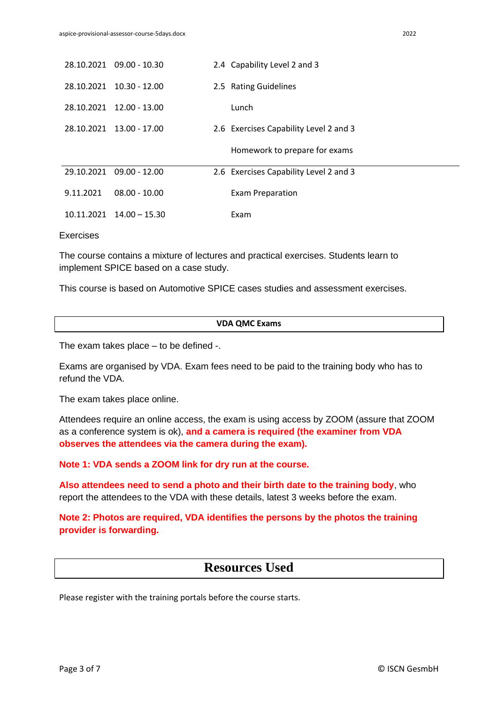|            | 28.10.2021 09.00 - 10.30 | 2.4 Capability Level 2 and 3           |
|------------|--------------------------|----------------------------------------|
| 28.10.2021 | $10.30 - 12.00$          | 2.5 Rating Guidelines                  |
| 28.10.2021 | $12.00 - 13.00$          | Lunch                                  |
|            | 28.10.2021 13.00 - 17.00 | 2.6 Exercises Capability Level 2 and 3 |
|            |                          |                                        |
|            |                          | Homework to prepare for exams          |
| 29.10.2021 | $09.00 - 12.00$          | 2.6 Exercises Capability Level 2 and 3 |
| 9.11.2021  | $08.00 - 10.00$          | <b>Exam Preparation</b>                |

### **Exercises**

The course contains a mixture of lectures and practical exercises. Students learn to implement SPICE based on a case study.

This course is based on Automotive SPICE cases studies and assessment exercises.

| VDA QMC Exams |  |
|---------------|--|
|---------------|--|

The exam takes place – to be defined -.

Exams are organised by VDA. Exam fees need to be paid to the training body who has to refund the VDA.

The exam takes place online.

Attendees require an online access, the exam is using access by ZOOM (assure that ZOOM as a conference system is ok), **and a camera is required (the examiner from VDA observes the attendees via the camera during the exam).**

**Note 1: VDA sends a ZOOM link for dry run at the course.**

**Also attendees need to send a photo and their birth date to the training body**, who report the attendees to the VDA with these details, latest 3 weeks before the exam.

**Note 2: Photos are required, VDA identifies the persons by the photos the training provider is forwarding.**

## **Resources Used**

Please register with the training portals before the course starts.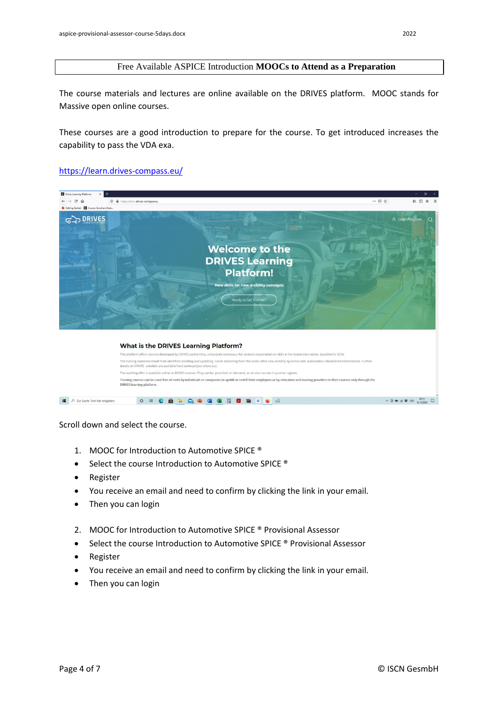## Free Available ASPICE Introduction **MOOCs to Attend as a Preparation**

The course materials and lectures are online available on the DRIVES platform. MOOC stands for Massive open online courses.

These courses are a good introduction to prepare for the course. To get introduced increases the capability to pass the VDA exa.

## <https://learn.drives-compass.eu/>



Scroll down and select the course.

- 1. MOOC for Introduction to Automotive SPICE ®
- Select the course Introduction to Automotive SPICE ®
- Register
- You receive an email and need to confirm by clicking the link in your email.
- Then you can login
- 2. MOOC for Introduction to Automotive SPICE ® Provisional Assessor
- Select the course Introduction to Automotive SPICE ® Provisional Assessor
- Register
- You receive an email and need to confirm by clicking the link in your email.
- Then you can login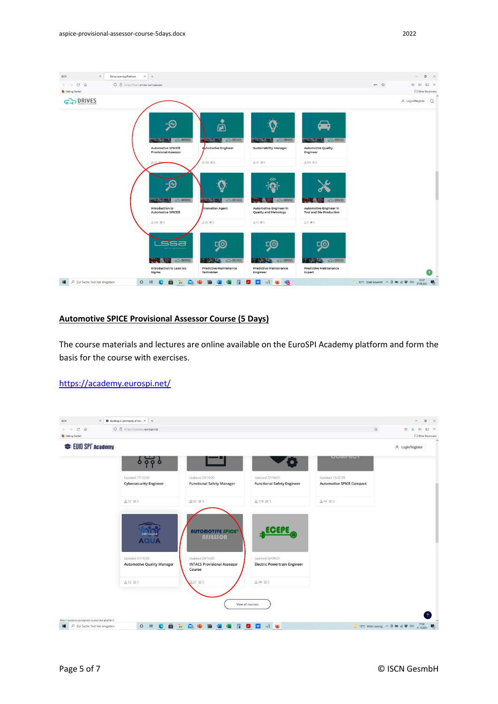$\mathsf{ISCN}$ 

 $\rightarrow$  C  $\odot$ 

**G** Getting Started G<sub>2</sub> DRIVES



ge me

ஒ

**ANTIQ** GEORIE

Predictive Maintenance<br>Expert

## **Automotive SPICE Provisional Assessor Course (5 Days)**

 $2258$  mms

ssa

**AND GEORIVES** 

Introduction to Lean Six<br>Sigma

 $0.05 \text{ m/s}$ 

ஒ

Predictive Maintenance<br>Technician

O H C & R Q + B + E B B U J + 6

**ANALOGICA DRIVES** 

The course materials and lectures are online available on the EuroSPI Academy platform and form the basis for the course with exercises.

 $9.19$  mms

ஒ

Predictive Maintenance<br>Engineer

**ANTIQUES** GROUPES

## <https://academy.eurospi.net/>

 $\Box$   $\Box$  Zur Suche Text hier eingeben



 $\overline{\mathbf{t}}$ 

7 15°C Stark bewolkt  $\sim$   $\overline{0}$  **No**  $\overline{a}$  **U** DEU  $\frac{2237}{07.09.2021}$   $\overline{\mathbf{W}}_2$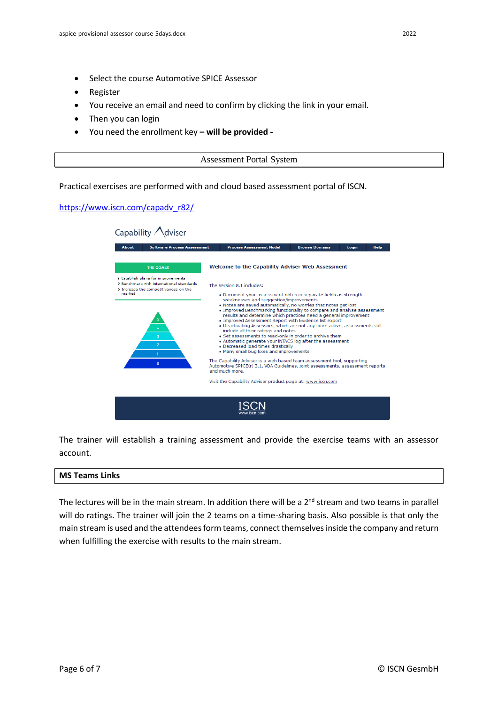- Select the course Automotive SPICE Assessor
- Register
- You receive an email and need to confirm by clicking the link in your email.
- Then you can login
- You need the enrollment key **– will be provided -**

Assessment Portal System

Practical exercises are performed with and cloud based assessment portal of ISCN.

## [https://www.iscn.com/capadv\\_r82/](https://www.iscn.com/capadv_r82/)

| Capability<br>viser                                                                                                               |                                                                                                                                                                                                                                                                                                                                                                                                                                                                                                                                                                                                                                                                                                                      |                       |       |             |  |  |  |
|-----------------------------------------------------------------------------------------------------------------------------------|----------------------------------------------------------------------------------------------------------------------------------------------------------------------------------------------------------------------------------------------------------------------------------------------------------------------------------------------------------------------------------------------------------------------------------------------------------------------------------------------------------------------------------------------------------------------------------------------------------------------------------------------------------------------------------------------------------------------|-----------------------|-------|-------------|--|--|--|
| <b>Software Process Assessment</b><br><b>About</b>                                                                                | <b>Process Assessment Model</b>                                                                                                                                                                                                                                                                                                                                                                                                                                                                                                                                                                                                                                                                                      | <b>Browse Domains</b> | Login | <b>Help</b> |  |  |  |
| <b>THE GOALS</b>                                                                                                                  | <b>Welcome to the Capability Adviser Web Assessment</b>                                                                                                                                                                                                                                                                                                                                                                                                                                                                                                                                                                                                                                                              |                       |       |             |  |  |  |
| > Establish plans for improvements<br>> Benchmark with international standards<br>> Increase the competitiveness on the<br>market | The Version 8.1 includes:                                                                                                                                                                                                                                                                                                                                                                                                                                                                                                                                                                                                                                                                                            |                       |       |             |  |  |  |
| $\overline{\mathbf{3}}$<br>$\overline{2}$                                                                                         | . Document your assessment notes in separate fields as strength,<br>weaknesses and suggestion/improvements<br>. Notes are saved automatically, no worries that notes get lost<br>. Improved Benchmarking functionality to compare and analyse assessment<br>results and determine which practices need a general improvement<br>. Improved Assessment Report with Evidence list export<br>. Deactivating Assessors, which are not any more active, assessments still<br>include all their ratings and notes<br>• Set assessments to read-only in order to archive them<br>. Automatic generate your iNTACS log after the assessment<br>. Decreased load times drastically<br>• Many small bug fixes and improvements |                       |       |             |  |  |  |
| $\mathbf{0}$                                                                                                                      | The Capability Adviser is a web based team assessment tool, supporting<br>Automotive SPICE(r) 3.1, VDA Guidelines, joint assessments, assessment reports<br>and much more.                                                                                                                                                                                                                                                                                                                                                                                                                                                                                                                                           |                       |       |             |  |  |  |
|                                                                                                                                   | Visit the Capability Adviser product page at: www.iscn.com                                                                                                                                                                                                                                                                                                                                                                                                                                                                                                                                                                                                                                                           |                       |       |             |  |  |  |
|                                                                                                                                   |                                                                                                                                                                                                                                                                                                                                                                                                                                                                                                                                                                                                                                                                                                                      |                       |       |             |  |  |  |

The trainer will establish a training assessment and provide the exercise teams with an assessor account.

### **MS Teams Links**

The lectures will be in the main stream. In addition there will be a  $2<sup>nd</sup>$  stream and two teams in parallel will do ratings. The trainer will join the 2 teams on a time-sharing basis. Also possible is that only the main stream is used and the attendees form teams, connect themselves inside the company and return when fulfilling the exercise with results to the main stream.